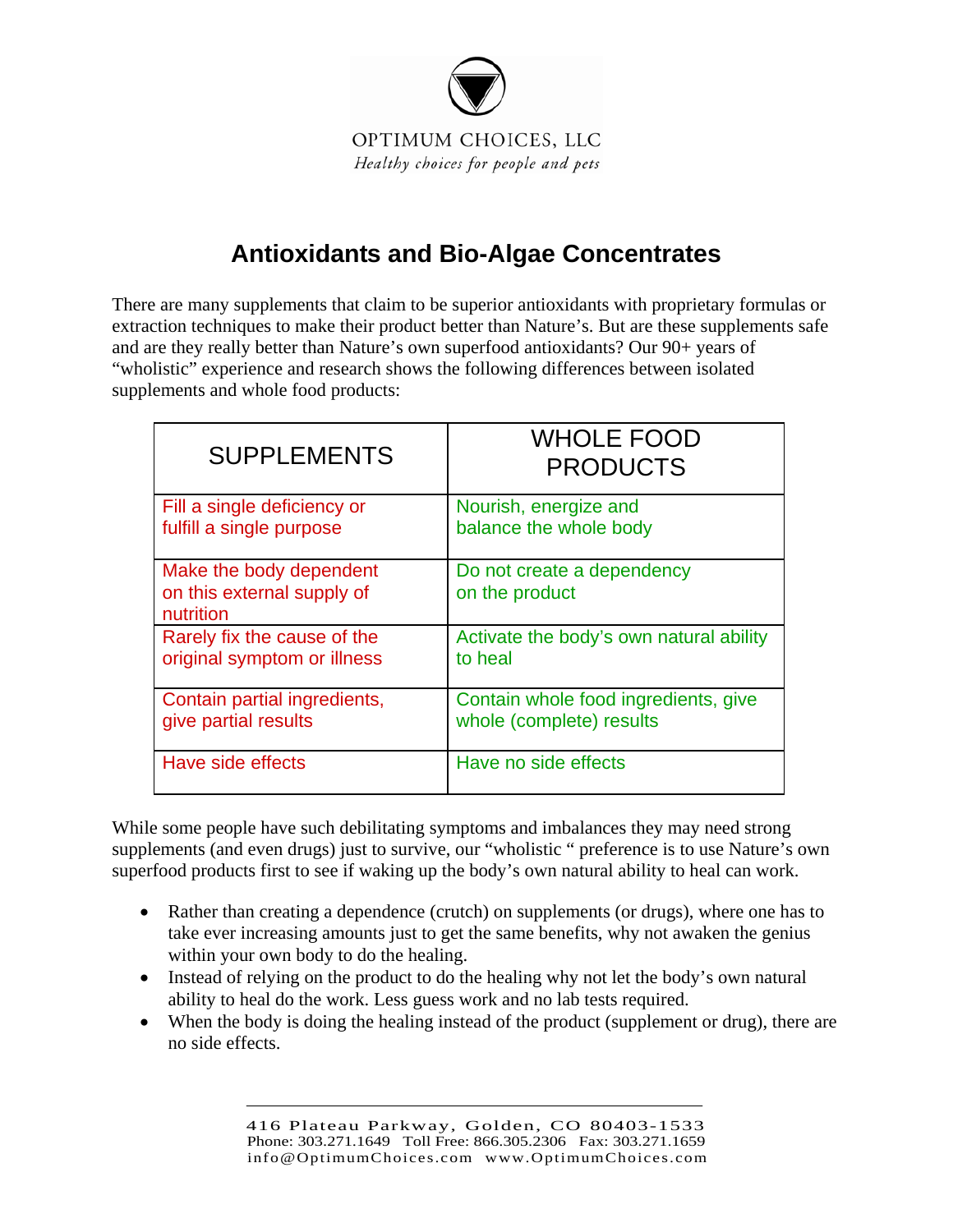

# **Antioxidants and Bio-Algae Concentrates**

There are many supplements that claim to be superior antioxidants with proprietary formulas or extraction techniques to make their product better than Nature's. But are these supplements safe and are they really better than Nature's own superfood antioxidants? Our 90+ years of "wholistic" experience and research shows the following differences between isolated supplements and whole food products:

| <b>SUPPLEMENTS</b>                                                 | <b>WHOLE FOOD</b><br><b>PRODUCTS</b>         |
|--------------------------------------------------------------------|----------------------------------------------|
| Fill a single deficiency or                                        | Nourish, energize and                        |
| fulfill a single purpose                                           | balance the whole body                       |
| Make the body dependent<br>on this external supply of<br>nutrition | Do not create a dependency<br>on the product |
| Rarely fix the cause of the                                        | Activate the body's own natural ability      |
| original symptom or illness                                        | to heal                                      |
| Contain partial ingredients,                                       | Contain whole food ingredients, give         |
| give partial results                                               | whole (complete) results                     |
| Have side effects                                                  | Have no side effects                         |

While some people have such debilitating symptoms and imbalances they may need strong supplements (and even drugs) just to survive, our "wholistic " preference is to use Nature's own superfood products first to see if waking up the body's own natural ability to heal can work.

- Rather than creating a dependence (crutch) on supplements (or drugs), where one has to take ever increasing amounts just to get the same benefits, why not awaken the genius within your own body to do the healing.
- Instead of relying on the product to do the healing why not let the body's own natural ability to heal do the work. Less guess work and no lab tests required.
- When the body is doing the healing instead of the product (supplement or drug), there are no side effects.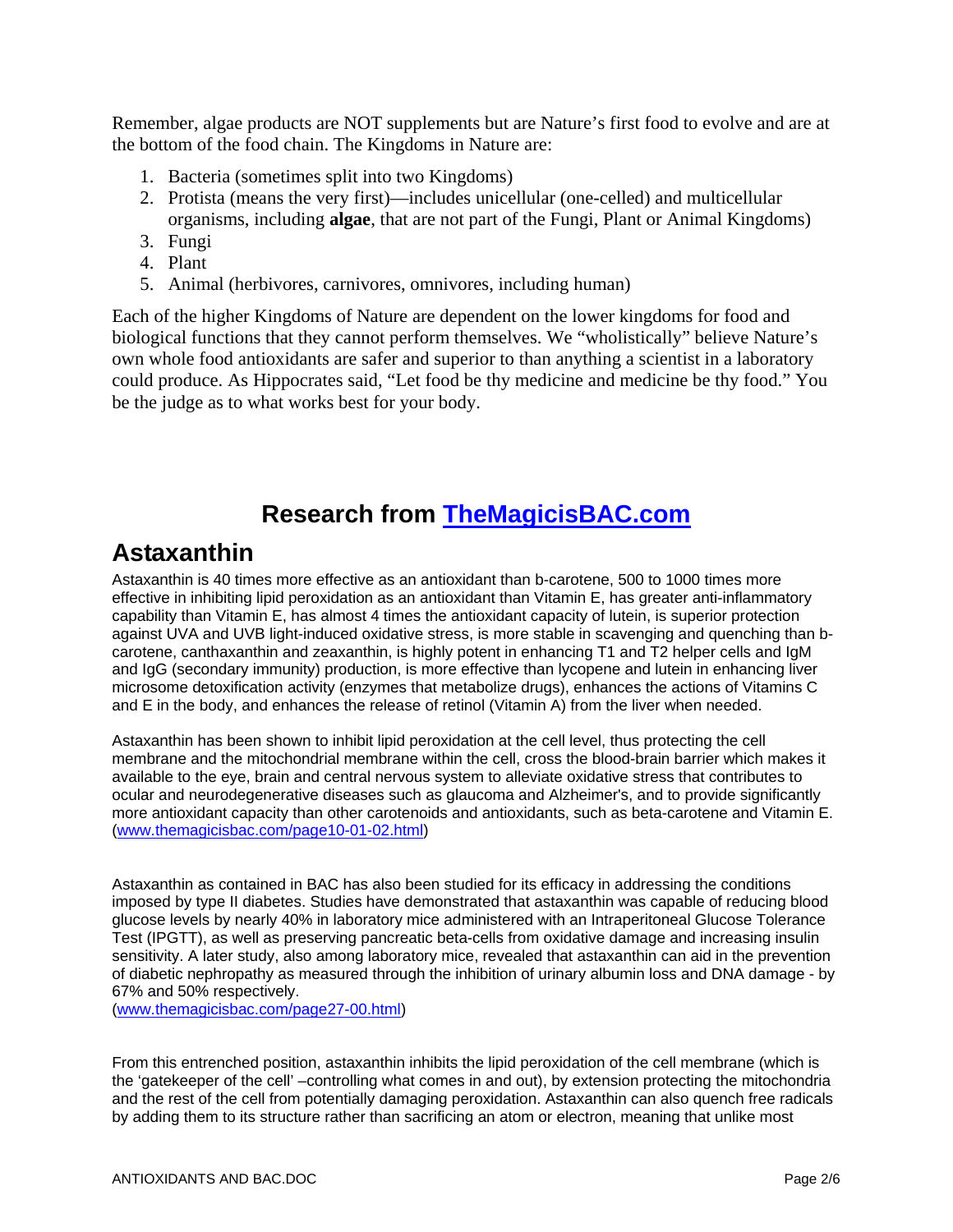Remember, algae products are NOT supplements but are Nature's first food to evolve and are at the bottom of the food chain. The Kingdoms in Nature are:

- 1. Bacteria (sometimes split into two Kingdoms)
- 2. Protista (means the very first)—includes unicellular (one-celled) and multicellular organisms, including **algae**, that are not part of the Fungi, Plant or Animal Kingdoms)
- 3. Fungi
- 4. Plant
- 5. Animal (herbivores, carnivores, omnivores, including human)

Each of the higher Kingdoms of Nature are dependent on the lower kingdoms for food and biological functions that they cannot perform themselves. We "wholistically" believe Nature's own whole food antioxidants are safer and superior to than anything a scientist in a laboratory could produce. As Hippocrates said, "Let food be thy medicine and medicine be thy food." You be the judge as to what works best for your body.

## **Research from [TheMagicisBAC.com](http://www.themagicisbac.com/)**

### **Astaxanthin**

Astaxanthin is 40 times more effective as an antioxidant than b-carotene, 500 to 1000 times more effective in inhibiting lipid peroxidation as an antioxidant than Vitamin E, has greater anti-inflammatory capability than Vitamin E, has almost 4 times the antioxidant capacity of lutein, is superior protection against UVA and UVB light-induced oxidative stress, is more stable in scavenging and quenching than bcarotene, canthaxanthin and zeaxanthin, is highly potent in enhancing T1 and T2 helper cells and IgM and IgG (secondary immunity) production, is more effective than lycopene and lutein in enhancing liver microsome detoxification activity (enzymes that metabolize drugs), enhances the actions of Vitamins C and E in the body, and enhances the release of retinol (Vitamin A) from the liver when needed.

Astaxanthin has been shown to inhibit lipid peroxidation at the cell level, thus protecting the cell membrane and the mitochondrial membrane within the cell, cross the blood-brain barrier which makes it available to the eye, brain and central nervous system to alleviate oxidative stress that contributes to ocular and neurodegenerative diseases such as glaucoma and Alzheimer's, and to provide significantly more antioxidant capacity than other carotenoids and antioxidants, such as beta-carotene and Vitamin E. [\(www.themagicisbac.com/page10-01-02.html](http://www.themagicisbac.com/page10-01-02.html))

Astaxanthin as contained in BAC has also been studied for its efficacy in addressing the conditions imposed by type II diabetes. Studies have demonstrated that astaxanthin was capable of reducing blood glucose levels by nearly 40% in laboratory mice administered with an Intraperitoneal Glucose Tolerance Test (IPGTT), as well as preserving pancreatic beta-cells from oxidative damage and increasing insulin sensitivity. A later study, also among laboratory mice, revealed that astaxanthin can aid in the prevention of diabetic nephropathy as measured through the inhibition of urinary albumin loss and DNA damage - by 67% and 50% respectively.

[\(www.themagicisbac.com/page27-00.html\)](http://www.themagicisbac.com/page27-00.html)

From this entrenched position, astaxanthin inhibits the lipid peroxidation of the cell membrane (which is the 'gatekeeper of the cell' –controlling what comes in and out), by extension protecting the mitochondria and the rest of the cell from potentially damaging peroxidation. Astaxanthin can also quench free radicals by adding them to its structure rather than sacrificing an atom or electron, meaning that unlike most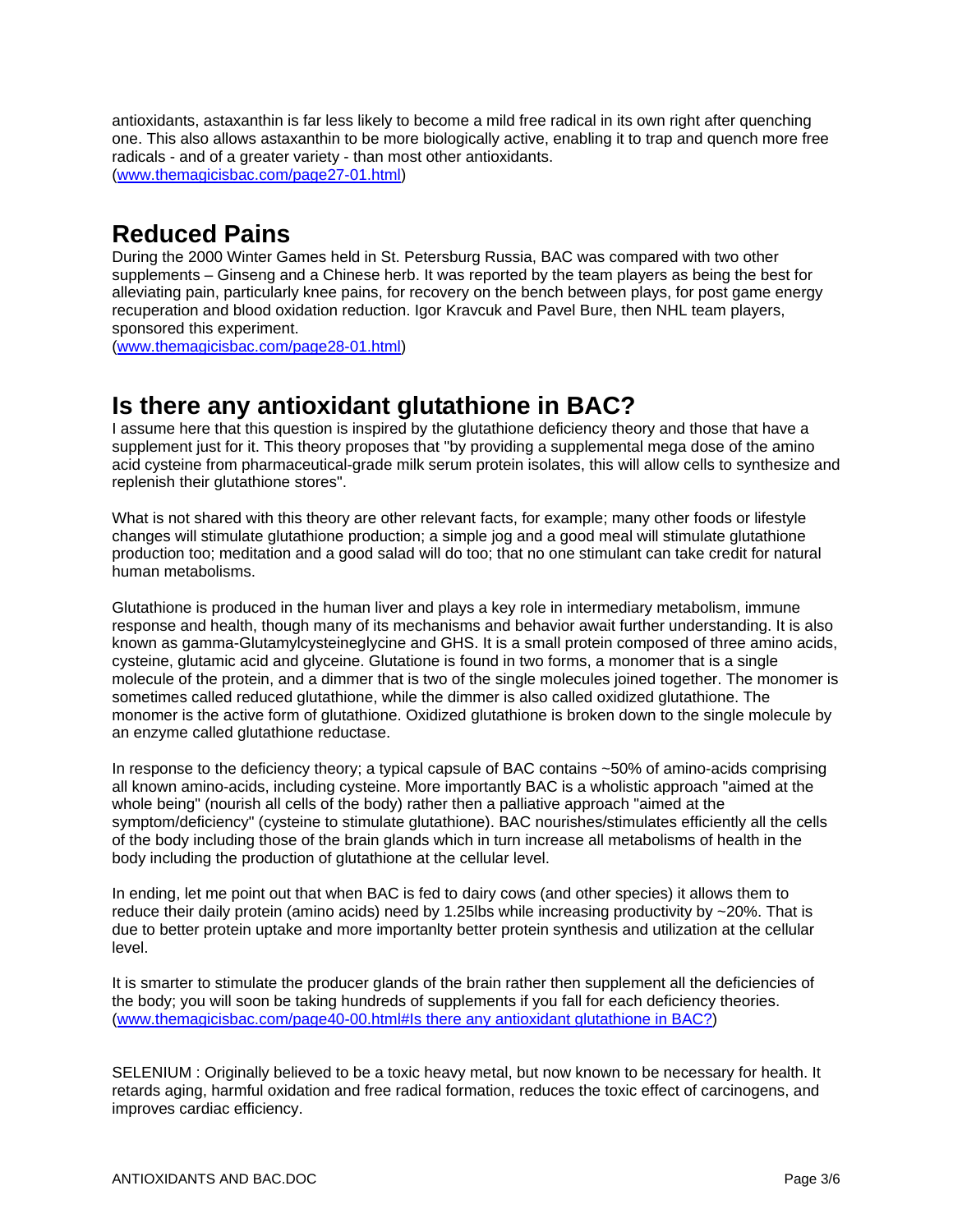antioxidants, astaxanthin is far less likely to become a mild free radical in its own right after quenching one. This also allows astaxanthin to be more biologically active, enabling it to trap and quench more free radicals - and of a greater variety - than most other antioxidants. [\(www.themagicisbac.com/page27-01.html\)](http://www.themagicisbac.com/page27-01.html)

### **Reduced Pains**

During the 2000 Winter Games held in St. Petersburg Russia, BAC was compared with two other supplements – Ginseng and a Chinese herb. It was reported by the team players as being the best for alleviating pain, particularly knee pains, for recovery on the bench between plays, for post game energy recuperation and blood oxidation reduction. Igor Kravcuk and Pavel Bure, then NHL team players, sponsored this experiment.

[\(www.themagicisbac.com/page28-01.html\)](http://www.themagicisbac.com/page28-01.html)

## **[Is there any antioxidant glutathione in BAC?](http://www.themagicisbac.com/page40-00.html#listquestions#listquestions)**

I assume here that this question is inspired by the glutathione deficiency theory and those that have a supplement just for it. This theory proposes that "by providing a supplemental mega dose of the amino acid cysteine from pharmaceutical-grade milk serum protein isolates, this will allow cells to synthesize and replenish their glutathione stores".

What is not shared with this theory are other relevant facts, for example; many other foods or lifestyle changes will stimulate glutathione production; a simple jog and a good meal will stimulate glutathione production too; meditation and a good salad will do too; that no one stimulant can take credit for natural human metabolisms.

Glutathione is produced in the human liver and plays a key role in intermediary metabolism, immune response and health, though many of its mechanisms and behavior await further understanding. It is also known as gamma-Glutamylcysteineglycine and GHS. It is a small protein composed of three amino acids, cysteine, glutamic acid and glyceine. Glutatione is found in two forms, a monomer that is a single molecule of the protein, and a dimmer that is two of the single molecules joined together. The monomer is sometimes called reduced glutathione, while the dimmer is also called oxidized glutathione. The monomer is the active form of glutathione. Oxidized glutathione is broken down to the single molecule by an enzyme called glutathione reductase.

In response to the deficiency theory; a typical capsule of BAC contains ~50% of amino-acids comprising all known amino-acids, including cysteine. More importantly BAC is a wholistic approach "aimed at the whole being" (nourish all cells of the body) rather then a palliative approach "aimed at the symptom/deficiency" (cysteine to stimulate glutathione). BAC nourishes/stimulates efficiently all the cells of the body including those of the brain glands which in turn increase all metabolisms of health in the body including the production of glutathione at the cellular level.

In ending, let me point out that when BAC is fed to dairy cows (and other species) it allows them to reduce their daily protein (amino acids) need by 1.25lbs while increasing productivity by ~20%. That is due to better protein uptake and more importanlty better protein synthesis and utilization at the cellular level.

It is smarter to stimulate the producer glands of the brain rather then supplement all the deficiencies of the body; you will soon be taking hundreds of supplements if you fall for each deficiency theories. [\(www.themagicisbac.com/page40-00.html#Is there any antioxidant glutathione in BAC?\)](http://www.themagicisbac.com/page40-00.html%23Is%20there%20any%20antioxidant%20glutathione%20in%20BAC?)

SELENIUM : Originally believed to be a toxic heavy metal, but now known to be necessary for health. It retards aging, harmful oxidation and free radical formation, reduces the toxic effect of carcinogens, and improves cardiac efficiency.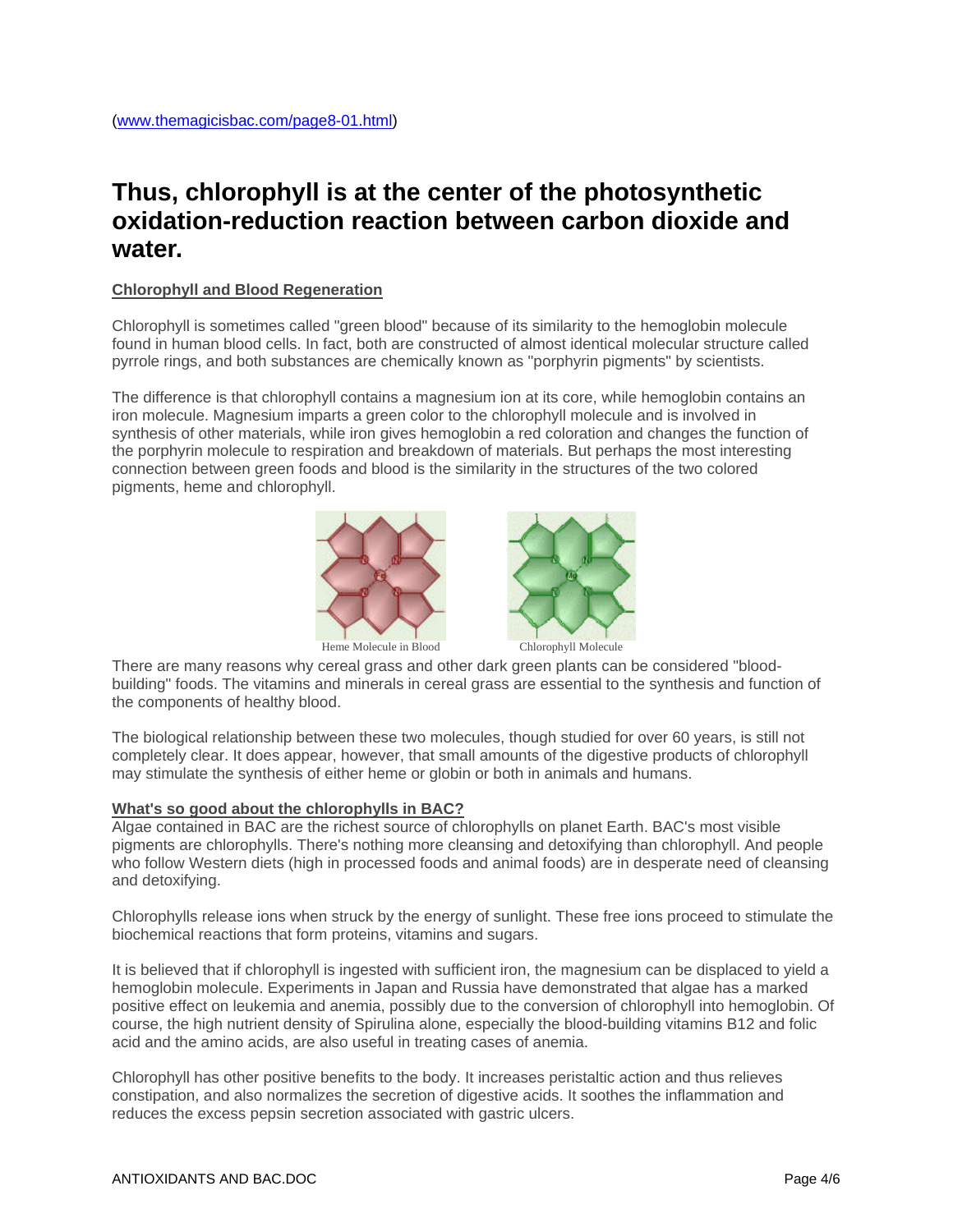## **Thus, chlorophyll is at the center of the photosynthetic oxidation-reduction reaction between carbon dioxide and water.**

#### **Chlorophyll and Blood Regeneration**

Chlorophyll is sometimes called "green blood" because of its similarity to the hemoglobin molecule found in human blood cells. In fact, both are constructed of almost identical molecular structure called pyrrole rings, and both substances are chemically known as "porphyrin pigments" by scientists.

The difference is that chlorophyll contains a magnesium ion at its core, while hemoglobin contains an iron molecule. Magnesium imparts a green color to the chlorophyll molecule and is involved in synthesis of other materials, while iron gives hemoglobin a red coloration and changes the function of the porphyrin molecule to respiration and breakdown of materials. But perhaps the most interesting connection between green foods and blood is the similarity in the structures of the two colored pigments, heme and chlorophyll.



There are many reasons why cereal grass and other dark green plants can be considered "bloodbuilding" foods. The vitamins and minerals in cereal grass are essential to the synthesis and function of the components of healthy blood.

The biological relationship between these two molecules, though studied for over 60 years, is still not completely clear. It does appear, however, that small amounts of the digestive products of chlorophyll may stimulate the synthesis of either heme or globin or both in animals and humans.

#### **What's so good about the chlorophylls in BAC?**

Algae contained in BAC are the richest source of chlorophylls on planet Earth. BAC's most visible pigments are chlorophylls. There's nothing more cleansing and detoxifying than chlorophyll. And people who follow Western diets (high in processed foods and animal foods) are in desperate need of cleansing and detoxifying.

Chlorophylls release ions when struck by the energy of sunlight. These free ions proceed to stimulate the biochemical reactions that form proteins, vitamins and sugars.

It is believed that if chlorophyll is ingested with sufficient iron, the magnesium can be displaced to yield a hemoglobin molecule. Experiments in Japan and Russia have demonstrated that algae has a marked positive effect on leukemia and anemia, possibly due to the conversion of chlorophyll into hemoglobin. Of course, the high nutrient density of Spirulina alone, especially the blood-building vitamins B12 and folic acid and the amino acids, are also useful in treating cases of anemia.

Chlorophyll has other positive benefits to the body. It increases peristaltic action and thus relieves constipation, and also normalizes the secretion of digestive acids. It soothes the inflammation and reduces the excess pepsin secretion associated with gastric ulcers.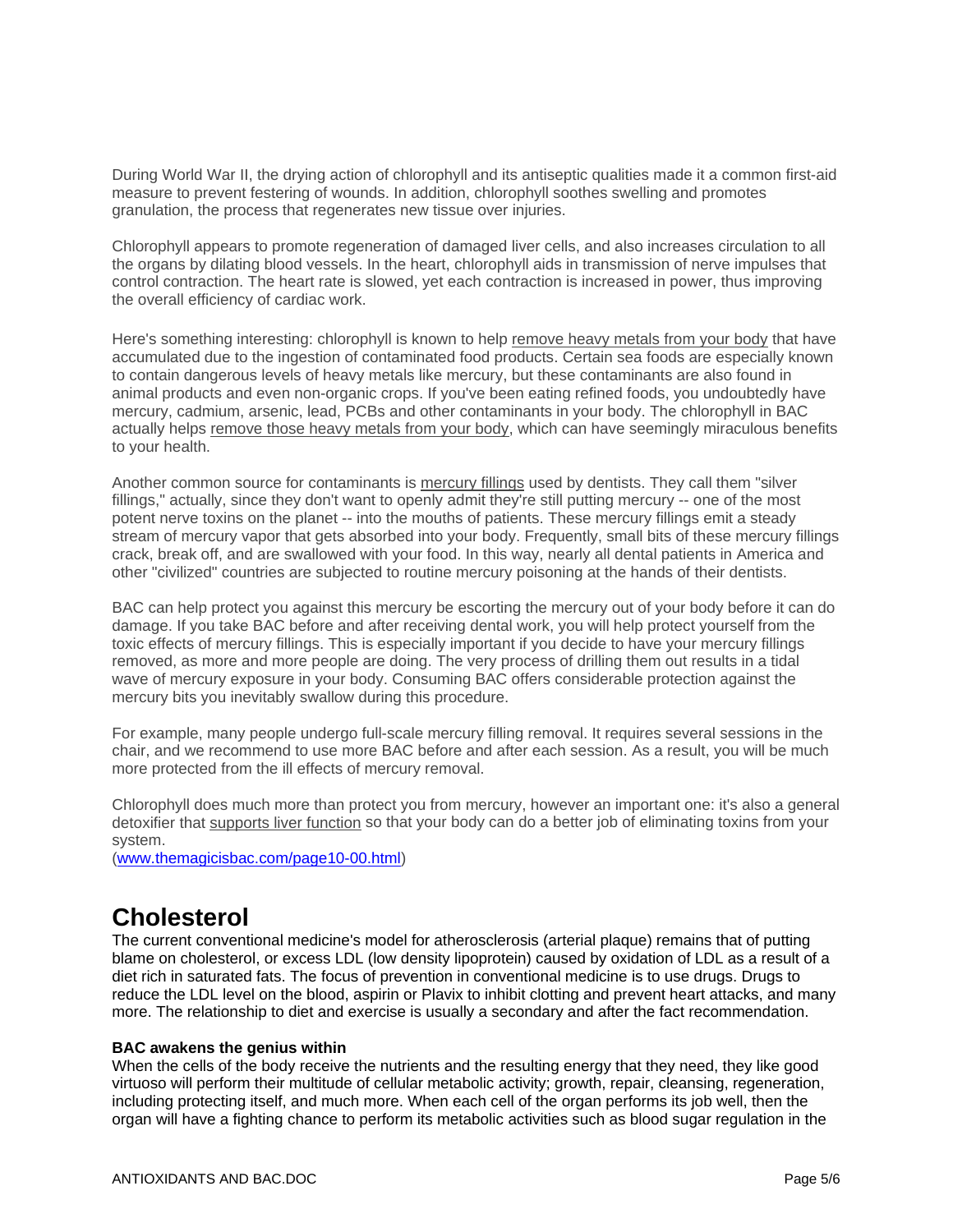During World War II, the drying action of chlorophyll and its antiseptic qualities made it a common first-aid measure to prevent festering of wounds. In addition, chlorophyll soothes swelling and promotes granulation, the process that regenerates new tissue over injuries.

Chlorophyll appears to promote regeneration of damaged liver cells, and also increases circulation to all the organs by dilating blood vessels. In the heart, chlorophyll aids in transmission of nerve impulses that control contraction. The heart rate is slowed, yet each contraction is increased in power, thus improving the overall efficiency of cardiac work.

Here's something interesting: chlorophyll is known to help remove heavy metals from your body that have accumulated due to the ingestion of contaminated food products. Certain sea foods are especially known to contain dangerous levels of heavy metals like mercury, but these contaminants are also found in animal products and even non-organic crops. If you've been eating refined foods, you undoubtedly have mercury, cadmium, arsenic, lead, PCBs and other contaminants in your body. The chlorophyll in BAC actually helps remove those heavy metals from your body, which can have seemingly miraculous benefits to your health.

Another common source for contaminants is mercury fillings used by dentists. They call them "silver fillings," actually, since they don't want to openly admit they're still putting mercury -- one of the most potent nerve toxins on the planet -- into the mouths of patients. These mercury fillings emit a steady stream of mercury vapor that gets absorbed into your body. Frequently, small bits of these mercury fillings crack, break off, and are swallowed with your food. In this way, nearly all dental patients in America and other "civilized" countries are subjected to routine mercury poisoning at the hands of their dentists.

BAC can help protect you against this mercury be escorting the mercury out of your body before it can do damage. If you take BAC before and after receiving dental work, you will help protect yourself from the toxic effects of mercury fillings. This is especially important if you decide to have your mercury fillings removed, as more and more people are doing. The very process of drilling them out results in a tidal wave of mercury exposure in your body. Consuming BAC offers considerable protection against the mercury bits you inevitably swallow during this procedure.

For example, many people undergo full-scale mercury filling removal. It requires several sessions in the chair, and we recommend to use more BAC before and after each session. As a result, you will be much more protected from the ill effects of mercury removal.

Chlorophyll does much more than protect you from mercury, however an important one: it's also a general detoxifier that supports liver function so that your body can do a better job of eliminating toxins from your system.

[\(www.themagicisbac.com/page10-00.html\)](http://www.themagicisbac.com/page10-00.html)

## **Cholesterol**

The current conventional medicine's model for atherosclerosis (arterial plaque) remains that of putting blame on cholesterol, or excess LDL (low density lipoprotein) caused by oxidation of LDL as a result of a diet rich in saturated fats. The focus of prevention in conventional medicine is to use drugs. Drugs to reduce the LDL level on the blood, aspirin or Plavix to inhibit clotting and prevent heart attacks, and many more. The relationship to diet and exercise is usually a secondary and after the fact recommendation.

#### **BAC awakens the genius within**

When the cells of the body receive the nutrients and the resulting energy that they need, they like good virtuoso will perform their multitude of cellular metabolic activity; growth, repair, cleansing, regeneration, including protecting itself, and much more. When each cell of the organ performs its job well, then the organ will have a fighting chance to perform its metabolic activities such as blood sugar regulation in the